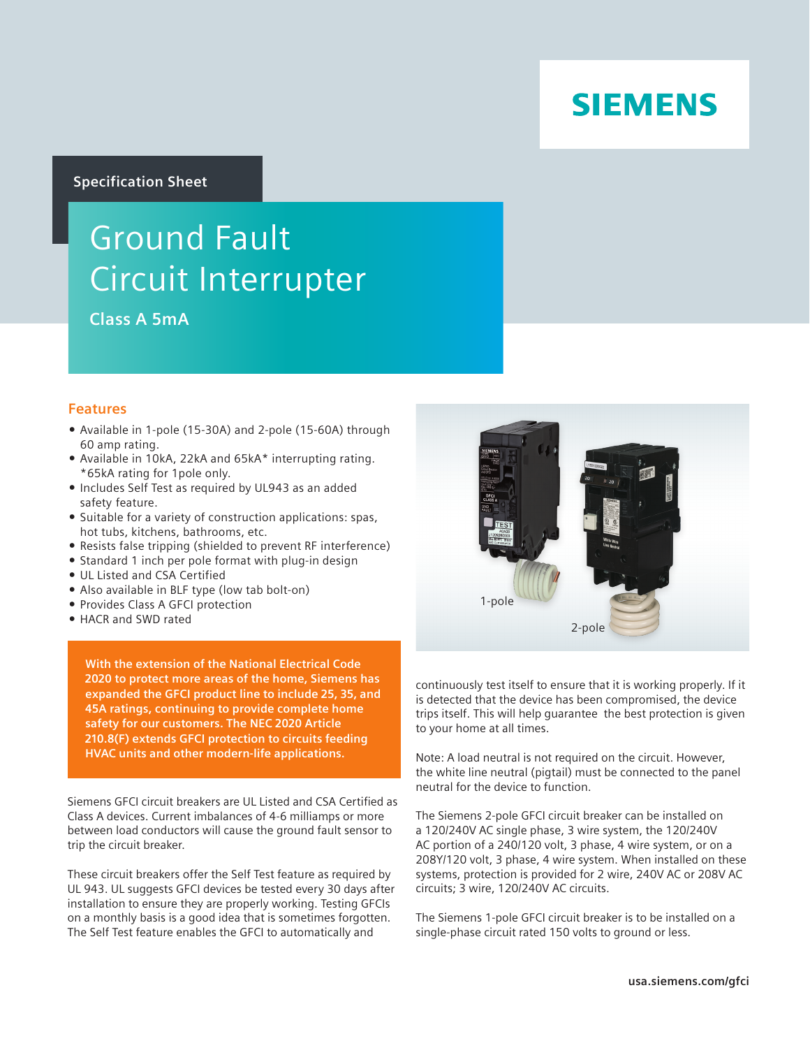# **SIEMENS**

## **Specification Sheet**

# Ground Fault Circuit Interrupter

**Class A 5mA** 

## **Features**

- Available in 1-pole (15-30A) and 2-pole (15-60A) through 60 amp rating.
- Available in 10kA, 22kA and 65kA\* interrupting rating. \*65kA rating for 1pole only.
- Includes Self Test as required by UL943 as an added safety feature.
- Suitable for a variety of construction applications: spas, hot tubs, kitchens, bathrooms, etc.
- Resists false tripping (shielded to prevent RF interference)
- Standard 1 inch per pole format with plug-in design
- UL Listed and CSA Certified
- Also available in BLF type (low tab bolt-on)
- **Provides Class A GFCI protection**
- HACR and SWD rated

**With the extension of the National Electrical Code 2020 to protect more areas of the home, Siemens has expanded the GFCI product line to include 25, 35, and 45A ratings, continuing to provide complete home safety for our customers. The NEC 2020 Article 210.8(F) extends GFCI protection to circuits feeding HVAC units and other modern-life applications.**

Siemens GFCI circuit breakers are UL Listed and CSA Certified as Class A devices. Current imbalances of 4-6 milliamps or more between load conductors will cause the ground fault sensor to trip the circuit breaker.

These circuit breakers offer the Self Test feature as required by UL 943. UL suggests GFCI devices be tested every 30 days after installation to ensure they are properly working. Testing GFCIs on a monthly basis is a good idea that is sometimes forgotten. The Self Test feature enables the GFCI to automatically and



continuously test itself to ensure that it is working properly. If it is detected that the device has been compromised, the device trips itself. This will help guarantee the best protection is given to your home at all times.

Note: A load neutral is not required on the circuit. However, the white line neutral (pigtail) must be connected to the panel neutral for the device to function.

The Siemens 2-pole GFCI circuit breaker can be installed on a 120/240V AC single phase, 3 wire system, the 120/240V AC portion of a 240/120 volt, 3 phase, 4 wire system, or on a 208Y/120 volt, 3 phase, 4 wire system. When installed on these systems, protection is provided for 2 wire, 240V AC or 208V AC circuits; 3 wire, 120/240V AC circuits.

The Siemens 1-pole GFCI circuit breaker is to be installed on a single-phase circuit rated 150 volts to ground or less.